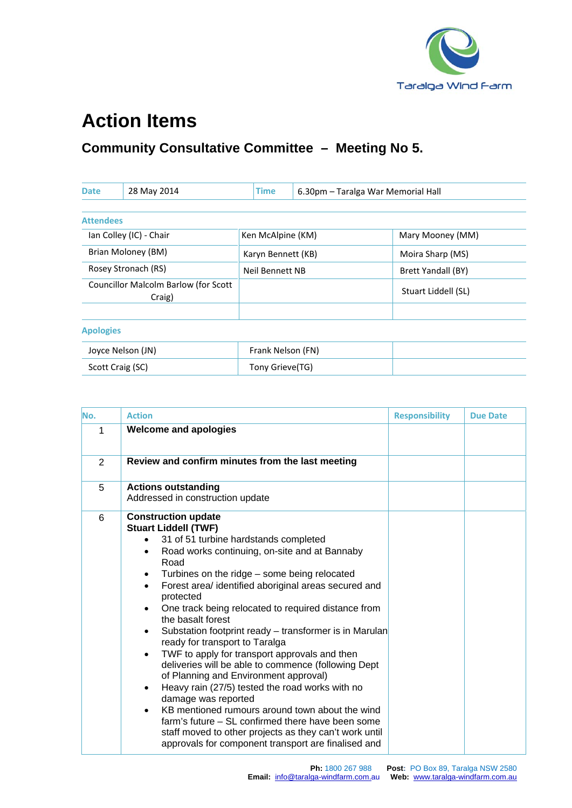

## **Action Items**

## **Community Consultative Committee – Meeting No 5.**

| <b>Date</b>             | 28 May 2014                                    | <b>Time</b>        | 6.30pm - Taralga War Memorial Hall |                           |
|-------------------------|------------------------------------------------|--------------------|------------------------------------|---------------------------|
|                         |                                                |                    |                                    |                           |
| <b>Attendees</b>        |                                                |                    |                                    |                           |
| Ian Colley (IC) - Chair |                                                | Ken McAlpine (KM)  |                                    | Mary Mooney (MM)          |
| Brian Moloney (BM)      |                                                | Karyn Bennett (KB) |                                    | Moira Sharp (MS)          |
| Rosey Stronach (RS)     |                                                | Neil Bennett NB    |                                    | <b>Brett Yandall (BY)</b> |
|                         | Councillor Malcolm Barlow (for Scott<br>Craig) |                    |                                    | Stuart Liddell (SL)       |
|                         |                                                |                    |                                    |                           |
| <b>Apologies</b>        |                                                |                    |                                    |                           |
|                         | Joyce Nelson (JN)                              | Frank Nelson (FN)  |                                    |                           |
| Scott Craig (SC)        |                                                | Tony Grieve(TG)    |                                    |                           |

| No. | <b>Action</b>                                                                                                                                                                                                                                                                                                                                                                                                                                                                                                                                                                                                                                                                                                                                                                                                                                                                                                                            | <b>Responsibility</b> | <b>Due Date</b> |
|-----|------------------------------------------------------------------------------------------------------------------------------------------------------------------------------------------------------------------------------------------------------------------------------------------------------------------------------------------------------------------------------------------------------------------------------------------------------------------------------------------------------------------------------------------------------------------------------------------------------------------------------------------------------------------------------------------------------------------------------------------------------------------------------------------------------------------------------------------------------------------------------------------------------------------------------------------|-----------------------|-----------------|
| 1   | <b>Welcome and apologies</b>                                                                                                                                                                                                                                                                                                                                                                                                                                                                                                                                                                                                                                                                                                                                                                                                                                                                                                             |                       |                 |
| 2   | Review and confirm minutes from the last meeting                                                                                                                                                                                                                                                                                                                                                                                                                                                                                                                                                                                                                                                                                                                                                                                                                                                                                         |                       |                 |
| 5   | <b>Actions outstanding</b><br>Addressed in construction update                                                                                                                                                                                                                                                                                                                                                                                                                                                                                                                                                                                                                                                                                                                                                                                                                                                                           |                       |                 |
| 6   | <b>Construction update</b><br><b>Stuart Liddell (TWF)</b><br>31 of 51 turbine hardstands completed<br>Road works continuing, on-site and at Bannaby<br>$\bullet$<br>Road<br>Turbines on the ridge - some being relocated<br>٠<br>Forest area/ identified aboriginal areas secured and<br>protected<br>One track being relocated to required distance from<br>the basalt forest<br>Substation footprint ready - transformer is in Marulan<br>ready for transport to Taralga<br>TWF to apply for transport approvals and then<br>٠<br>deliveries will be able to commence (following Dept<br>of Planning and Environment approval)<br>Heavy rain (27/5) tested the road works with no<br>٠<br>damage was reported<br>KB mentioned rumours around town about the wind<br>farm's future – SL confirmed there have been some<br>staff moved to other projects as they can't work until<br>approvals for component transport are finalised and |                       |                 |